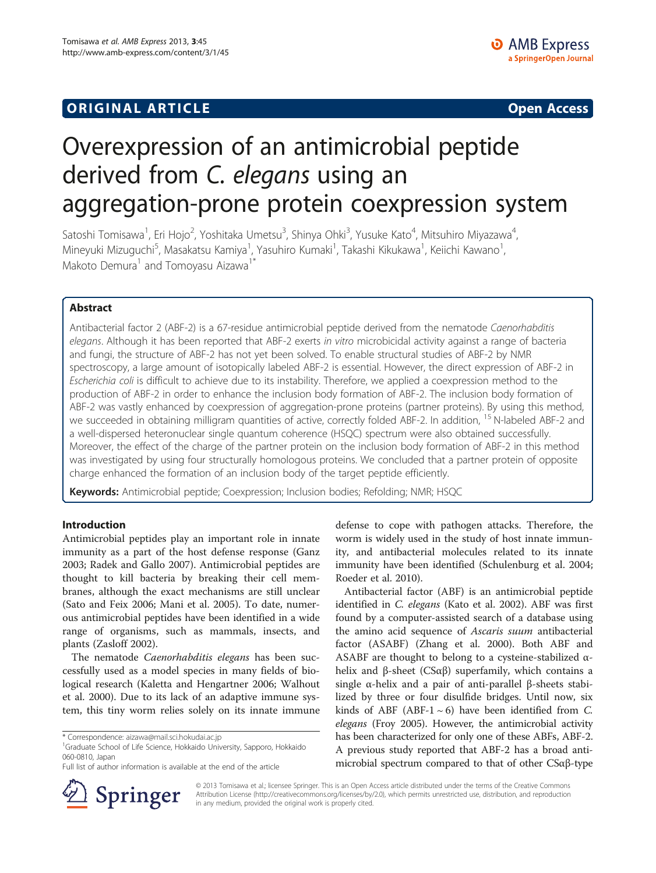## **ORIGINAL ARTICLE CONSUMING A LIGACION** CONSUMING A LIGACION CONSUMING A LIGACION CONSUMING A LIGACION CONSUMING A LIGACION CONSUMING A LIGACION CONSUMING A LIGACION CONSUMING A LIGACION CONSUMING A LIGACION CONSUMING A

# Overexpression of an antimicrobial peptide derived from C. elegans using an aggregation-prone protein coexpression system

Satoshi Tomisawa<sup>1</sup>, Eri Hojo<sup>2</sup>, Yoshitaka Umetsu<sup>3</sup>, Shinya Ohki<sup>3</sup>, Yusuke Kato<sup>4</sup>, Mitsuhiro Miyazawa<sup>4</sup> , Mineyuki Mizuguchi<sup>5</sup>, Masakatsu Kamiya<sup>1</sup>, Yasuhiro Kumaki<sup>1</sup>, Takashi Kikukawa<sup>1</sup>, Keiichi Kawano<sup>1</sup> , Makoto Demura<sup>1</sup> and Tomoyasu Aizawa<sup>1\*</sup>

## Abstract

Antibacterial factor 2 (ABF-2) is a 67-residue antimicrobial peptide derived from the nematode Caenorhabditis elegans. Although it has been reported that ABF-2 exerts in vitro microbicidal activity against a range of bacteria and fungi, the structure of ABF-2 has not yet been solved. To enable structural studies of ABF-2 by NMR spectroscopy, a large amount of isotopically labeled ABF-2 is essential. However, the direct expression of ABF-2 in Escherichia coli is difficult to achieve due to its instability. Therefore, we applied a coexpression method to the production of ABF-2 in order to enhance the inclusion body formation of ABF-2. The inclusion body formation of ABF-2 was vastly enhanced by coexpression of aggregation-prone proteins (partner proteins). By using this method, we succeeded in obtaining milligram quantities of active, correctly folded ABF-2. In addition, <sup>15</sup> N-labeled ABF-2 and a well-dispersed heteronuclear single quantum coherence (HSQC) spectrum were also obtained successfully. Moreover, the effect of the charge of the partner protein on the inclusion body formation of ABF-2 in this method was investigated by using four structurally homologous proteins. We concluded that a partner protein of opposite charge enhanced the formation of an inclusion body of the target peptide efficiently.

Keywords: Antimicrobial peptide; Coexpression; Inclusion bodies; Refolding; NMR; HSQC

## Introduction

Antimicrobial peptides play an important role in innate immunity as a part of the host defense response (Ganz [2003](#page-7-0); Radek and Gallo [2007\)](#page-7-0). Antimicrobial peptides are thought to kill bacteria by breaking their cell membranes, although the exact mechanisms are still unclear (Sato and Feix [2006;](#page-7-0) Mani et al. [2005](#page-7-0)). To date, numerous antimicrobial peptides have been identified in a wide range of organisms, such as mammals, insects, and plants (Zasloff [2002](#page-7-0)).

The nematode Caenorhabditis elegans has been successfully used as a model species in many fields of biological research (Kaletta and Hengartner [2006;](#page-7-0) Walhout et al. [2000](#page-7-0)). Due to its lack of an adaptive immune system, this tiny worm relies solely on its innate immune

Full list of author information is available at the end of the article



defense to cope with pathogen attacks. Therefore, the worm is widely used in the study of host innate immunity, and antibacterial molecules related to its innate immunity have been identified (Schulenburg et al. [2004](#page-7-0); Roeder et al. [2010\)](#page-7-0).

Antibacterial factor (ABF) is an antimicrobial peptide identified in C. elegans (Kato et al. [2002](#page-7-0)). ABF was first found by a computer-assisted search of a database using the amino acid sequence of Ascaris suum antibacterial factor (ASABF) (Zhang et al. [2000](#page-7-0)). Both ABF and ASABF are thought to belong to a cysteine-stabilized  $\alpha$ helix and β-sheet (CSαβ) superfamily, which contains a single α-helix and a pair of anti-parallel β-sheets stabilized by three or four disulfide bridges. Until now, six kinds of ABF (ABF-1 $\sim$  6) have been identified from C. elegans (Froy [2005\)](#page-7-0). However, the antimicrobial activity has been characterized for only one of these ABFs, ABF-2. A previous study reported that ABF-2 has a broad antimicrobial spectrum compared to that of other CSαβ-type

© 2013 Tomisawa et al.; licensee Springer. This is an Open Access article distributed under the terms of the Creative Commons Attribution License [\(http://creativecommons.org/licenses/by/2.0\)](http://creativecommons.org/licenses/by/2.0), which permits unrestricted use, distribution, and reproduction in any medium, provided the original work is properly cited.

<sup>\*</sup> Correspondence: [aizawa@mail.sci.hokudai.ac.jp](mailto:aizawa@mail.sci.hokudai.ac.jp) <sup>1</sup>

<sup>&</sup>lt;sup>1</sup>Graduate School of Life Science, Hokkaido University, Sapporo, Hokkaido 060-0810, Japan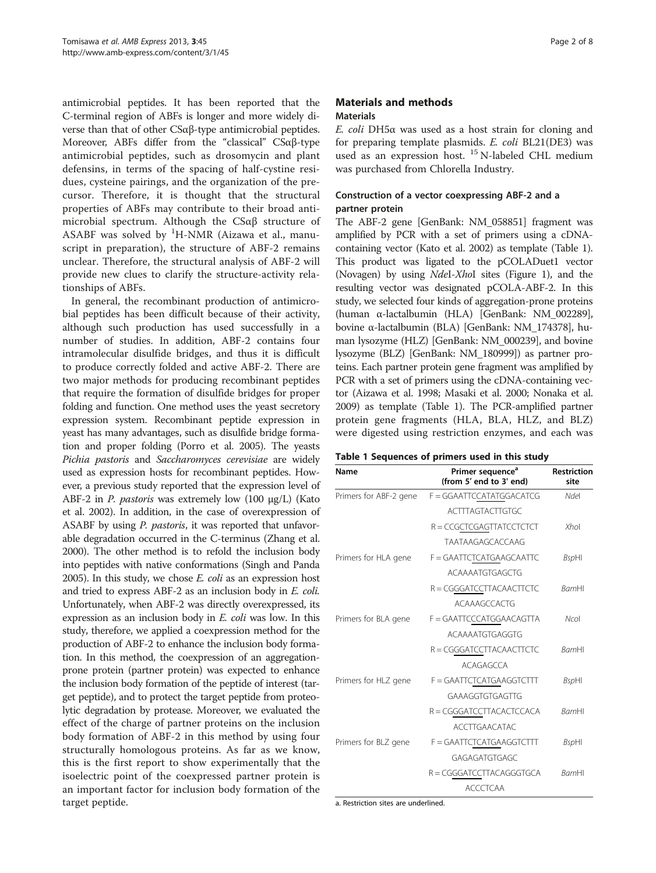antimicrobial peptides. It has been reported that the C-terminal region of ABFs is longer and more widely diverse than that of other CSαβ-type antimicrobial peptides. Moreover, ABFs differ from the "classical" CSαβ-type antimicrobial peptides, such as drosomycin and plant defensins, in terms of the spacing of half-cystine residues, cysteine pairings, and the organization of the precursor. Therefore, it is thought that the structural properties of ABFs may contribute to their broad antimicrobial spectrum. Although the CSαβ structure of ASABF was solved by <sup>1</sup>H-NMR (Aizawa et al., manuscript in preparation), the structure of ABF-2 remains unclear. Therefore, the structural analysis of ABF-2 will provide new clues to clarify the structure-activity relationships of ABFs.

In general, the recombinant production of antimicrobial peptides has been difficult because of their activity, although such production has used successfully in a number of studies. In addition, ABF-2 contains four intramolecular disulfide bridges, and thus it is difficult to produce correctly folded and active ABF-2. There are two major methods for producing recombinant peptides that require the formation of disulfide bridges for proper folding and function. One method uses the yeast secretory expression system. Recombinant peptide expression in yeast has many advantages, such as disulfide bridge formation and proper folding (Porro et al. [2005](#page-7-0)). The yeasts Pichia pastoris and Saccharomyces cerevisiae are widely used as expression hosts for recombinant peptides. However, a previous study reported that the expression level of ABF-2 in *P. pastoris* was extremely low  $(100 \mu g/L)$  (Kato et al. [2002\)](#page-7-0). In addition, in the case of overexpression of ASABF by using P. pastoris, it was reported that unfavorable degradation occurred in the C-terminus (Zhang et al. [2000\)](#page-7-0). The other method is to refold the inclusion body into peptides with native conformations (Singh and Panda [2005\)](#page-7-0). In this study, we chose E. coli as an expression host and tried to express ABF-2 as an inclusion body in E. coli. Unfortunately, when ABF-2 was directly overexpressed, its expression as an inclusion body in E. coli was low. In this study, therefore, we applied a coexpression method for the production of ABF-2 to enhance the inclusion body formation. In this method, the coexpression of an aggregationprone protein (partner protein) was expected to enhance the inclusion body formation of the peptide of interest (target peptide), and to protect the target peptide from proteolytic degradation by protease. Moreover, we evaluated the effect of the charge of partner proteins on the inclusion body formation of ABF-2 in this method by using four structurally homologous proteins. As far as we know, this is the first report to show experimentally that the isoelectric point of the coexpressed partner protein is an important factor for inclusion body formation of the target peptide.

## Materials and methods Materials

E. coli DH5α was used as a host strain for cloning and for preparing template plasmids. E. coli BL21(DE3) was used as an expression host. <sup>15</sup> N-labeled CHL medium was purchased from Chlorella Industry.

## Construction of a vector coexpressing ABF-2 and a partner protein

The ABF-2 gene [GenBank: NM\_058851] fragment was amplified by PCR with a set of primers using a cDNAcontaining vector (Kato et al. [2002\)](#page-7-0) as template (Table 1). This product was ligated to the pCOLADuet1 vector (Novagen) by using NdeІ-XhoІ sites (Figure [1\)](#page-2-0), and the resulting vector was designated pCOLA-ABF-2. In this study, we selected four kinds of aggregation-prone proteins (human α-lactalbumin (HLA) [GenBank: NM\_002289], bovine α-lactalbumin (BLA) [GenBank: NM\_174378], human lysozyme (HLZ) [GenBank: NM\_000239], and bovine lysozyme (BLZ) [GenBank: NM\_180999]) as partner proteins. Each partner protein gene fragment was amplified by PCR with a set of primers using the cDNA-containing vector (Aizawa et al. [1998](#page-6-0); Masaki et al. [2000](#page-7-0); Nonaka et al. [2009\)](#page-7-0) as template (Table 1). The PCR-amplified partner protein gene fragments (HLA, BLA, HLZ, and BLZ) were digested using restriction enzymes, and each was

|  | Table 1 Sequences of primers used in this study |  |  |  |  |  |  |  |
|--|-------------------------------------------------|--|--|--|--|--|--|--|
|--|-------------------------------------------------|--|--|--|--|--|--|--|

| Name                   | Primer sequence <sup>a</sup><br>(from 5' end to 3' end) | <b>Restriction</b><br>site |  |
|------------------------|---------------------------------------------------------|----------------------------|--|
| Primers for ABF-2 gene | F = GGAATTCCATATGGACATCG                                | Ndel                       |  |
|                        | <b>ACTTTAGTACTTGTGC</b>                                 |                            |  |
|                        | R = CCGCTCGAGTTATCCTCTCT                                | Xhol                       |  |
|                        | <b>TAATAAGAGCACCAAG</b>                                 |                            |  |
| Primers for HLA gene   | F = GAATTCTCATGAAGCAATTC                                | <b>BspHI</b>               |  |
|                        | ACAAAATGTGAGCTG                                         |                            |  |
|                        | R = CGGGATCCTTACAACTTCTC                                | <b>BamHI</b>               |  |
|                        | <b>ACAAAGCCACTG</b>                                     |                            |  |
| Primers for BLA gene   | F = GAATTCCCATGGAACAGTTA                                | Ncol                       |  |
|                        | ACAAAATGTGAGGTG                                         |                            |  |
|                        | R = CGGGATCCTTACAACTTCTC                                | <b>BamHI</b>               |  |
|                        | ACAGAGCCA                                               |                            |  |
| Primers for HLZ gene   | F = GAATTCTCATGAAGGTCTTT                                | <b>BspHI</b>               |  |
|                        | GAAAGGTGTGAGTTG                                         |                            |  |
|                        | R = CGGGATCCTTACACTCCACA                                | <b>BamHI</b>               |  |
|                        | <b>ACCTTGAACATAC</b>                                    |                            |  |
| Primers for BLZ gene   | F = GAATTCTCATGAAGGTCTTT                                | <b>BspHI</b>               |  |
|                        | GAGAGATGTGAGC                                           |                            |  |
|                        | R = CGGGATCCTTACAGGGTGCA                                | <b>BamHI</b>               |  |
|                        | ACCCTCAA                                                |                            |  |

a. Restriction sites are underlined.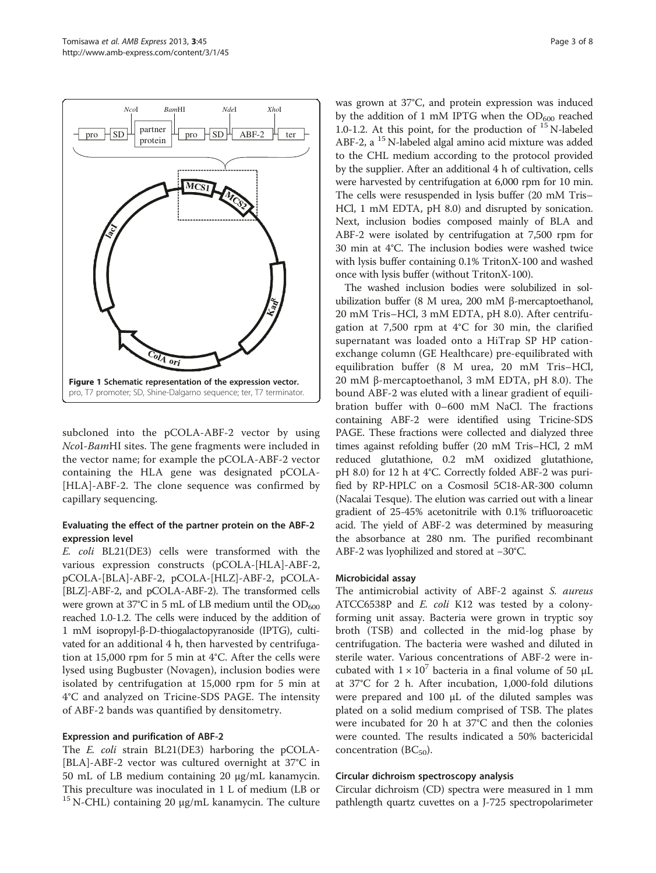<span id="page-2-0"></span>

subcloned into the pCOLA-ABF-2 vector by using NcoІ-BamHІ sites. The gene fragments were included in the vector name; for example the pCOLA-ABF-2 vector containing the HLA gene was designated pCOLA- [HLA]-ABF-2. The clone sequence was confirmed by capillary sequencing.

## Evaluating the effect of the partner protein on the ABF-2 expression level

E. coli BL21(DE3) cells were transformed with the various expression constructs (pCOLA-[HLA]-ABF-2, pCOLA-[BLA]-ABF-2, pCOLA-[HLZ]-ABF-2, pCOLA- [BLZ]-ABF-2, and pCOLA-ABF-2). The transformed cells were grown at 37 $^{\circ}$ C in 5 mL of LB medium until the OD<sub>600</sub> reached 1.0-1.2. The cells were induced by the addition of 1 mM isopropyl-β-D-thiogalactopyranoside (IPTG), cultivated for an additional 4 h, then harvested by centrifugation at 15,000 rpm for 5 min at 4°C. After the cells were lysed using Bugbuster (Novagen), inclusion bodies were isolated by centrifugation at 15,000 rpm for 5 min at 4°C and analyzed on Tricine-SDS PAGE. The intensity of ABF-2 bands was quantified by densitometry.

## Expression and purification of ABF-2

The *E. coli* strain BL21(DE3) harboring the pCOLA-[BLA]-ABF-2 vector was cultured overnight at 37°C in 50 mL of LB medium containing 20 μg/mL kanamycin. This preculture was inoculated in 1 L of medium (LB or  $15$  N-CHL) containing 20 μg/mL kanamycin. The culture

was grown at 37°C, and protein expression was induced by the addition of 1 mM IPTG when the  $OD<sub>600</sub>$  reached 1.0-1.2. At this point, for the production of  $^{15}$  N-labeled ABF-2, a <sup>15</sup> N-labeled algal amino acid mixture was added to the CHL medium according to the protocol provided by the supplier. After an additional 4 h of cultivation, cells were harvested by centrifugation at 6,000 rpm for 10 min. The cells were resuspended in lysis buffer (20 mM Tris– HCl, 1 mM EDTA, pH 8.0) and disrupted by sonication. Next, inclusion bodies composed mainly of BLA and ABF-2 were isolated by centrifugation at 7,500 rpm for 30 min at 4°C. The inclusion bodies were washed twice with lysis buffer containing 0.1% TritonX-100 and washed once with lysis buffer (without TritonX-100).

The washed inclusion bodies were solubilized in solubilization buffer (8 M urea, 200 mM β-mercaptoethanol, 20 mM Tris–HCl, 3 mM EDTA, pH 8.0). After centrifugation at 7,500 rpm at 4°C for 30 min, the clarified supernatant was loaded onto a HiTrap SP HP cationexchange column (GE Healthcare) pre-equilibrated with equilibration buffer (8 M urea, 20 mM Tris–HCl, 20 mM β-mercaptoethanol, 3 mM EDTA, pH 8.0). The bound ABF-2 was eluted with a linear gradient of equilibration buffer with 0–600 mM NaCl. The fractions containing ABF-2 were identified using Tricine-SDS PAGE. These fractions were collected and dialyzed three times against refolding buffer (20 mM Tris–HCl, 2 mM reduced glutathione, 0.2 mM oxidized glutathione, pH 8.0) for 12 h at 4°C. Correctly folded ABF-2 was purified by RP-HPLC on a Cosmosil 5C18-AR-300 column (Nacalai Tesque). The elution was carried out with a linear gradient of 25-45% acetonitrile with 0.1% trifluoroacetic acid. The yield of ABF-2 was determined by measuring the absorbance at 280 nm. The purified recombinant ABF-2 was lyophilized and stored at −30°C.

## Microbicidal assay

The antimicrobial activity of ABF-2 against S. aureus ATCC6538P and E. coli K12 was tested by a colonyforming unit assay. Bacteria were grown in tryptic soy broth (TSB) and collected in the mid-log phase by centrifugation. The bacteria were washed and diluted in sterile water. Various concentrations of ABF-2 were incubated with  $1 \times 10^7$  bacteria in a final volume of 50  $\mu$ L at 37°C for 2 h. After incubation, 1,000-fold dilutions were prepared and 100 μL of the diluted samples was plated on a solid medium comprised of TSB. The plates were incubated for 20 h at 37°C and then the colonies were counted. The results indicated a 50% bactericidal concentration  $(BC_{50})$ .

## Circular dichroism spectroscopy analysis

Circular dichroism (CD) spectra were measured in 1 mm pathlength quartz cuvettes on a J-725 spectropolarimeter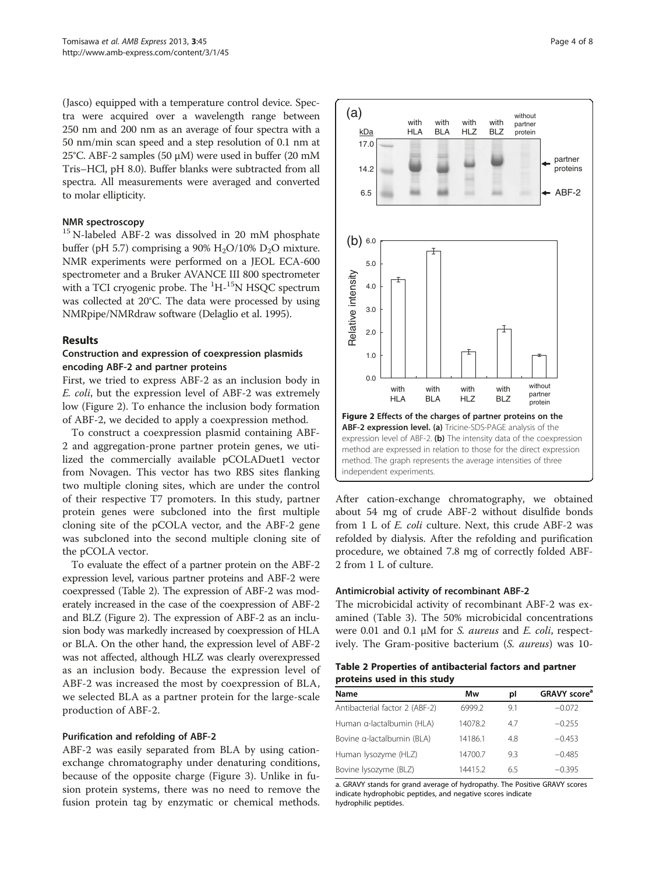<span id="page-3-0"></span>(Jasco) equipped with a temperature control device. Spectra were acquired over a wavelength range between 250 nm and 200 nm as an average of four spectra with a 50 nm/min scan speed and a step resolution of 0.1 nm at 25°C. ABF-2 samples (50 μM) were used in buffer (20 mM Tris–HCl, pH 8.0). Buffer blanks were subtracted from all spectra. All measurements were averaged and converted to molar ellipticity.

## NMR spectroscopy

<sup>15</sup> N-labeled ABF-2 was dissolved in 20 mM phosphate buffer (pH 5.7) comprising a 90%  $H_2O/10%$   $D_2O$  mixture. NMR experiments were performed on a JEOL ECA-600 spectrometer and a Bruker AVANCE ІІІ 800 spectrometer with a TCI cryogenic probe. The  $\mathrm{^{1}H\text{^{-1}}}{}^{5}\text{N}$  HSQC spectrum was collected at 20°C. The data were processed by using NMRpipe/NMRdraw software (Delaglio et al. [1995\)](#page-7-0).

#### Results

### Construction and expression of coexpression plasmids encoding ABF-2 and partner proteins

First, we tried to express ABF-2 as an inclusion body in E. coli, but the expression level of ABF-2 was extremely low (Figure 2). To enhance the inclusion body formation of ABF-2, we decided to apply a coexpression method.

To construct a coexpression plasmid containing ABF-2 and aggregation-prone partner protein genes, we utilized the commercially available pCOLADuet1 vector from Novagen. This vector has two RBS sites flanking two multiple cloning sites, which are under the control of their respective T7 promoters. In this study, partner protein genes were subcloned into the first multiple cloning site of the pCOLA vector, and the ABF-2 gene was subcloned into the second multiple cloning site of the pCOLA vector.

To evaluate the effect of a partner protein on the ABF-2 expression level, various partner proteins and ABF-2 were coexpressed (Table 2). The expression of ABF-2 was moderately increased in the case of the coexpression of ABF-2 and BLZ (Figure 2). The expression of ABF-2 as an inclusion body was markedly increased by coexpression of HLA or BLA. On the other hand, the expression level of ABF-2 was not affected, although HLZ was clearly overexpressed as an inclusion body. Because the expression level of ABF-2 was increased the most by coexpression of BLA, we selected BLA as a partner protein for the large-scale production of ABF-2.

#### Purification and refolding of ABF-2

ABF-2 was easily separated from BLA by using cationexchange chromatography under denaturing conditions, because of the opposite charge (Figure [3](#page-4-0)). Unlike in fusion protein systems, there was no need to remove the fusion protein tag by enzymatic or chemical methods.



After cation-exchange chromatography, we obtained about 54 mg of crude ABF-2 without disulfide bonds from 1 L of E. coli culture. Next, this crude ABF-2 was refolded by dialysis. After the refolding and purification procedure, we obtained 7.8 mg of correctly folded ABF-2 from 1 L of culture.

#### Antimicrobial activity of recombinant ABF-2

The microbicidal activity of recombinant ABF-2 was examined (Table [3](#page-4-0)). The 50% microbicidal concentrations were 0.01 and 0.1 μM for *S. aureus* and *E. coli*, respectively. The Gram-positive bacterium (S. aureus) was 10-

## Table 2 Properties of antibacterial factors and partner proteins used in this study

| Mw      | pl  | GRAVY score <sup>a</sup> |
|---------|-----|--------------------------|
| 6999.2  | 9.1 | $-0.072$                 |
| 14078.2 | 47  | $-0.255$                 |
| 14186.1 | 4.8 | $-0.453$                 |
| 14700.7 | 9.3 | $-0.485$                 |
| 14415.2 | 6.5 | $-0.395$                 |
|         |     |                          |

a. GRAVY stands for grand average of hydropathy. The Positive GRAVY scores indicate hydrophobic peptides, and negative scores indicate hydrophilic peptides.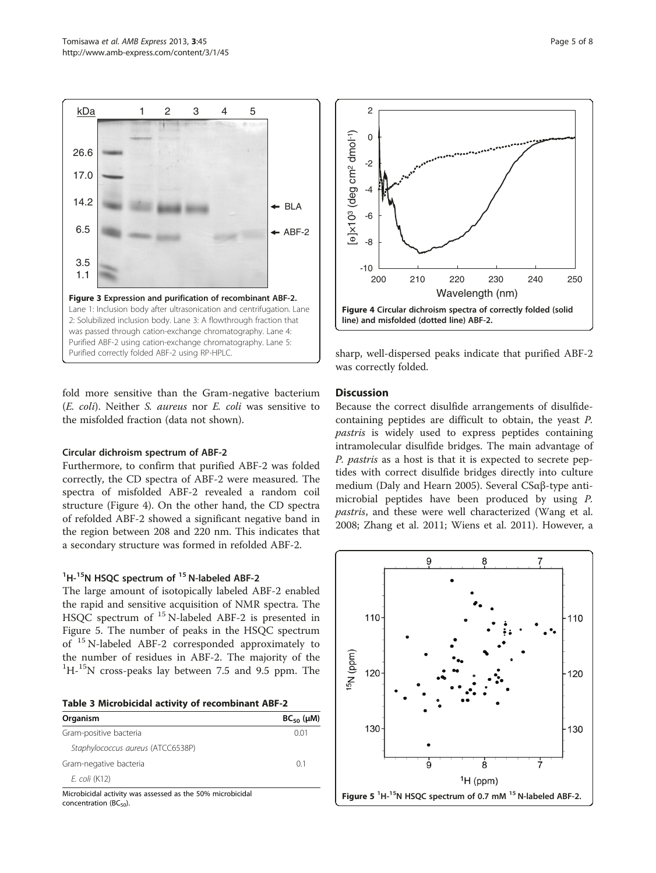<span id="page-4-0"></span>

fold more sensitive than the Gram-negative bacterium (E. coli). Neither S. aureus nor E. coli was sensitive to the misfolded fraction (data not shown).

## Circular dichroism spectrum of ABF-2

Furthermore, to confirm that purified ABF-2 was folded correctly, the CD spectra of ABF-2 were measured. The spectra of misfolded ABF-2 revealed a random coil structure (Figure 4). On the other hand, the CD spectra of refolded ABF-2 showed a significant negative band in the region between 208 and 220 nm. This indicates that a secondary structure was formed in refolded ABF-2.

## <sup>1</sup>H-<sup>15</sup>N HSQC spectrum of <sup>15</sup> N-labeled ABF-2

The large amount of isotopically labeled ABF-2 enabled the rapid and sensitive acquisition of NMR spectra. The HSQC spectrum of <sup>15</sup> N-labeled ABF-2 is presented in Figure 5. The number of peaks in the HSQC spectrum of <sup>15</sup> N-labeled ABF-2 corresponded approximately to the number of residues in ABF-2. The majority of the <sup>1</sup>H<sup>-15</sup>N cross-peaks lay between 7.5 and 9.5 ppm. The

|  |  |  |  | Table 3 Microbicidal activity of recombinant ABF-2 |  |
|--|--|--|--|----------------------------------------------------|--|
|--|--|--|--|----------------------------------------------------|--|

| Organism                          | $BC_{50}$ ( $\mu$ M) |
|-----------------------------------|----------------------|
| Gram-positive bacteria            | 0 Q 1                |
| Staphylococcus aureus (ATCC6538P) |                      |
| Gram-negative bacteria            | 01                   |
| E. coli (K12)                     |                      |

Microbicidal activity was assessed as the 50% microbicidal concentration ( $BC_{50}$ ).



sharp, well-dispersed peaks indicate that purified ABF-2 was correctly folded.

## **Discussion**

Because the correct disulfide arrangements of disulfidecontaining peptides are difficult to obtain, the yeast P. pastris is widely used to express peptides containing intramolecular disulfide bridges. The main advantage of P. pastris as a host is that it is expected to secrete peptides with correct disulfide bridges directly into culture medium (Daly and Hearn [2005\)](#page-7-0). Several CSαβ-type antimicrobial peptides have been produced by using P. pastris, and these were well characterized (Wang et al. [2008](#page-7-0); Zhang et al. [2011;](#page-7-0) Wiens et al. [2011](#page-7-0)). However, a

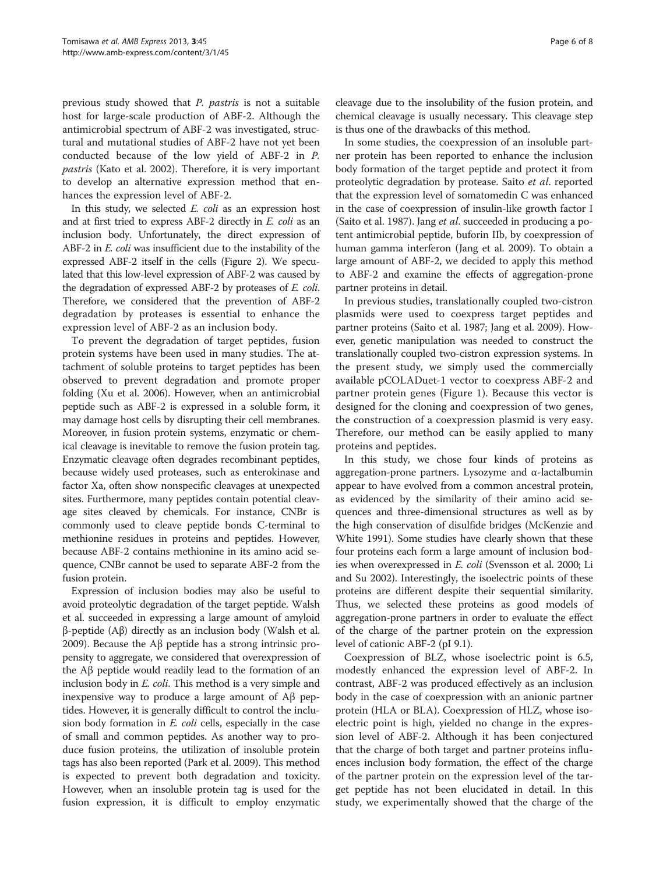previous study showed that P. pastris is not a suitable host for large-scale production of ABF-2. Although the antimicrobial spectrum of ABF-2 was investigated, structural and mutational studies of ABF-2 have not yet been conducted because of the low yield of ABF-2 in P. pastris (Kato et al. [2002\)](#page-7-0). Therefore, it is very important to develop an alternative expression method that enhances the expression level of ABF-2.

In this study, we selected E. coli as an expression host and at first tried to express ABF-2 directly in E. coli as an inclusion body. Unfortunately, the direct expression of ABF-2 in E. coli was insufficient due to the instability of the expressed ABF-2 itself in the cells (Figure [2](#page-3-0)). We speculated that this low-level expression of ABF-2 was caused by the degradation of expressed ABF-2 by proteases of E. coli. Therefore, we considered that the prevention of ABF-2 degradation by proteases is essential to enhance the expression level of ABF-2 as an inclusion body.

To prevent the degradation of target peptides, fusion protein systems have been used in many studies. The attachment of soluble proteins to target peptides has been observed to prevent degradation and promote proper folding (Xu et al. [2006](#page-7-0)). However, when an antimicrobial peptide such as ABF-2 is expressed in a soluble form, it may damage host cells by disrupting their cell membranes. Moreover, in fusion protein systems, enzymatic or chemical cleavage is inevitable to remove the fusion protein tag. Enzymatic cleavage often degrades recombinant peptides, because widely used proteases, such as enterokinase and factor Xa, often show nonspecific cleavages at unexpected sites. Furthermore, many peptides contain potential cleavage sites cleaved by chemicals. For instance, CNBr is commonly used to cleave peptide bonds C-terminal to methionine residues in proteins and peptides. However, because ABF-2 contains methionine in its amino acid sequence, CNBr cannot be used to separate ABF-2 from the fusion protein.

Expression of inclusion bodies may also be useful to avoid proteolytic degradation of the target peptide. Walsh et al. succeeded in expressing a large amount of amyloid β-peptide (Aβ) directly as an inclusion body (Walsh et al. [2009\)](#page-7-0). Because the Aβ peptide has a strong intrinsic propensity to aggregate, we considered that overexpression of the Aβ peptide would readily lead to the formation of an inclusion body in E. coli. This method is a very simple and inexpensive way to produce a large amount of Aβ peptides. However, it is generally difficult to control the inclusion body formation in E. coli cells, especially in the case of small and common peptides. As another way to produce fusion proteins, the utilization of insoluble protein tags has also been reported (Park et al. [2009\)](#page-7-0). This method is expected to prevent both degradation and toxicity. However, when an insoluble protein tag is used for the fusion expression, it is difficult to employ enzymatic

cleavage due to the insolubility of the fusion protein, and chemical cleavage is usually necessary. This cleavage step is thus one of the drawbacks of this method.

In some studies, the coexpression of an insoluble partner protein has been reported to enhance the inclusion body formation of the target peptide and protect it from proteolytic degradation by protease. Saito et al. reported that the expression level of somatomedin C was enhanced in the case of coexpression of insulin-like growth factor І (Saito et al. [1987\)](#page-7-0). Jang et al. succeeded in producing a potent antimicrobial peptide, buforin ІІb, by coexpression of human gamma interferon (Jang et al. [2009\)](#page-7-0). To obtain a large amount of ABF-2, we decided to apply this method to ABF-2 and examine the effects of aggregation-prone partner proteins in detail.

In previous studies, translationally coupled two-cistron plasmids were used to coexpress target peptides and partner proteins (Saito et al. [1987;](#page-7-0) Jang et al. [2009\)](#page-7-0). However, genetic manipulation was needed to construct the translationally coupled two-cistron expression systems. In the present study, we simply used the commercially available pCOLADuet-1 vector to coexpress ABF-2 and partner protein genes (Figure [1\)](#page-2-0). Because this vector is designed for the cloning and coexpression of two genes, the construction of a coexpression plasmid is very easy. Therefore, our method can be easily applied to many proteins and peptides.

In this study, we chose four kinds of proteins as aggregation-prone partners. Lysozyme and α-lactalbumin appear to have evolved from a common ancestral protein, as evidenced by the similarity of their amino acid sequences and three-dimensional structures as well as by the high conservation of disulfide bridges (McKenzie and White [1991](#page-7-0)). Some studies have clearly shown that these four proteins each form a large amount of inclusion bodies when overexpressed in E. coli (Svensson et al. [2000](#page-7-0); Li and Su [2002\)](#page-7-0). Interestingly, the isoelectric points of these proteins are different despite their sequential similarity. Thus, we selected these proteins as good models of aggregation-prone partners in order to evaluate the effect of the charge of the partner protein on the expression level of cationic ABF-2 (pI 9.1).

Coexpression of BLZ, whose isoelectric point is 6.5, modestly enhanced the expression level of ABF-2. In contrast, ABF-2 was produced effectively as an inclusion body in the case of coexpression with an anionic partner protein (HLA or BLA). Coexpression of HLZ, whose isoelectric point is high, yielded no change in the expression level of ABF-2. Although it has been conjectured that the charge of both target and partner proteins influences inclusion body formation, the effect of the charge of the partner protein on the expression level of the target peptide has not been elucidated in detail. In this study, we experimentally showed that the charge of the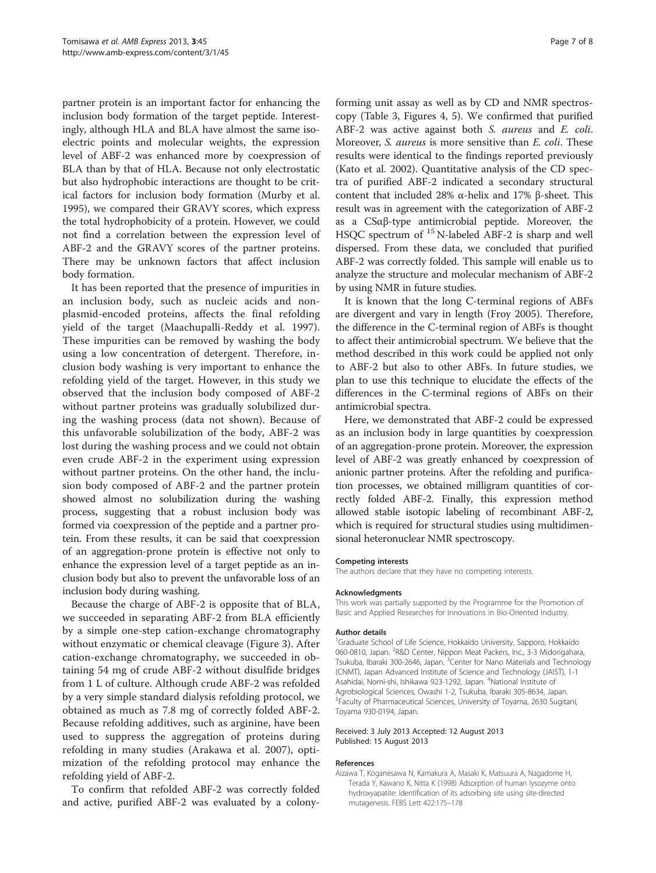<span id="page-6-0"></span>partner protein is an important factor for enhancing the inclusion body formation of the target peptide. Interestingly, although HLA and BLA have almost the same isoelectric points and molecular weights, the expression level of ABF-2 was enhanced more by coexpression of BLA than by that of HLA. Because not only electrostatic but also hydrophobic interactions are thought to be critical factors for inclusion body formation (Murby et al. [1995](#page-7-0)), we compared their GRAVY scores, which express the total hydrophobicity of a protein. However, we could not find a correlation between the expression level of ABF-2 and the GRAVY scores of the partner proteins. There may be unknown factors that affect inclusion body formation.

It has been reported that the presence of impurities in an inclusion body, such as nucleic acids and nonplasmid-encoded proteins, affects the final refolding yield of the target (Maachupalli-Reddy et al. [1997](#page-7-0)). These impurities can be removed by washing the body using a low concentration of detergent. Therefore, inclusion body washing is very important to enhance the refolding yield of the target. However, in this study we observed that the inclusion body composed of ABF-2 without partner proteins was gradually solubilized during the washing process (data not shown). Because of this unfavorable solubilization of the body, ABF-2 was lost during the washing process and we could not obtain even crude ABF-2 in the experiment using expression without partner proteins. On the other hand, the inclusion body composed of ABF-2 and the partner protein showed almost no solubilization during the washing process, suggesting that a robust inclusion body was formed via coexpression of the peptide and a partner protein. From these results, it can be said that coexpression of an aggregation-prone protein is effective not only to enhance the expression level of a target peptide as an inclusion body but also to prevent the unfavorable loss of an inclusion body during washing.

Because the charge of ABF-2 is opposite that of BLA, we succeeded in separating ABF-2 from BLA efficiently by a simple one-step cation-exchange chromatography without enzymatic or chemical cleavage (Figure [3\)](#page-4-0). After cation-exchange chromatography, we succeeded in obtaining 54 mg of crude ABF-2 without disulfide bridges from 1 L of culture. Although crude ABF-2 was refolded by a very simple standard dialysis refolding protocol, we obtained as much as 7.8 mg of correctly folded ABF-2. Because refolding additives, such as arginine, have been used to suppress the aggregation of proteins during refolding in many studies (Arakawa et al. [2007\)](#page-7-0), optimization of the refolding protocol may enhance the refolding yield of ABF-2.

To confirm that refolded ABF-2 was correctly folded and active, purified ABF-2 was evaluated by a colonyforming unit assay as well as by CD and NMR spectroscopy (Table [3](#page-4-0), Figures [4, 5](#page-4-0)). We confirmed that purified ABF-2 was active against both S. aureus and E. coli. Moreover, S. aureus is more sensitive than E. coli. These results were identical to the findings reported previously (Kato et al. [2002\)](#page-7-0). Quantitative analysis of the CD spectra of purified ABF-2 indicated a secondary structural content that included 28% α-helix and 17% β-sheet. This result was in agreement with the categorization of ABF-2 as a CSαβ-type antimicrobial peptide. Moreover, the HSQC spectrum of <sup>15</sup> N-labeled ABF-2 is sharp and well dispersed. From these data, we concluded that purified ABF-2 was correctly folded. This sample will enable us to analyze the structure and molecular mechanism of ABF-2 by using NMR in future studies.

It is known that the long C-terminal regions of ABFs are divergent and vary in length (Froy [2005](#page-7-0)). Therefore, the difference in the C-terminal region of ABFs is thought to affect their antimicrobial spectrum. We believe that the method described in this work could be applied not only to ABF-2 but also to other ABFs. In future studies, we plan to use this technique to elucidate the effects of the differences in the C-terminal regions of ABFs on their antimicrobial spectra.

Here, we demonstrated that ABF-2 could be expressed as an inclusion body in large quantities by coexpression of an aggregation-prone protein. Moreover, the expression level of ABF-2 was greatly enhanced by coexpression of anionic partner proteins. After the refolding and purification processes, we obtained milligram quantities of correctly folded ABF-2. Finally, this expression method allowed stable isotopic labeling of recombinant ABF-2, which is required for structural studies using multidimensional heteronuclear NMR spectroscopy.

#### Competing interests

The authors declare that they have no competing interests.

#### Acknowledgments

This work was partially supported by the Programme for the Promotion of Basic and Applied Researches for Innovations in Bio-Oriented Industry.

#### Author details

<sup>1</sup>Graduate School of Life Science, Hokkaido University, Sapporo, Hokkaidc 060-0810, Japan. <sup>2</sup>R&D Center, Nippon Meat Packers, Inc., 3-3 Midorigahara, Tsukuba, Ibaraki 300-2646, Japan. <sup>3</sup>Center for Nano Materials and Technology (CNMT), Japan Advanced Institute of Science and Technology (JAIST), 1-1 Asahidai, Nomi-shi, Ishikawa 923-1292, Japan. <sup>4</sup>National Institute of Agrobiological Sciences, Owashi 1-2, Tsukuba, Ibaraki 305-8634, Japan. 5 Faculty of Pharmaceutical Sciences, University of Toyama, 2630 Sugitani, Toyama 930-0194, Japan.

#### Received: 3 July 2013 Accepted: 12 August 2013 Published: 15 August 2013

#### References

Aizawa T, Koganesawa N, Kamakura A, Masaki K, Matsuura A, Nagadome H, Terada Y, Kawano K, Nitta K (1998) Adsorption of human lysozyme onto hydroxyapatite: Identification of its adsorbing site using site-directed mutagenesis. FEBS Lett 422:175–178